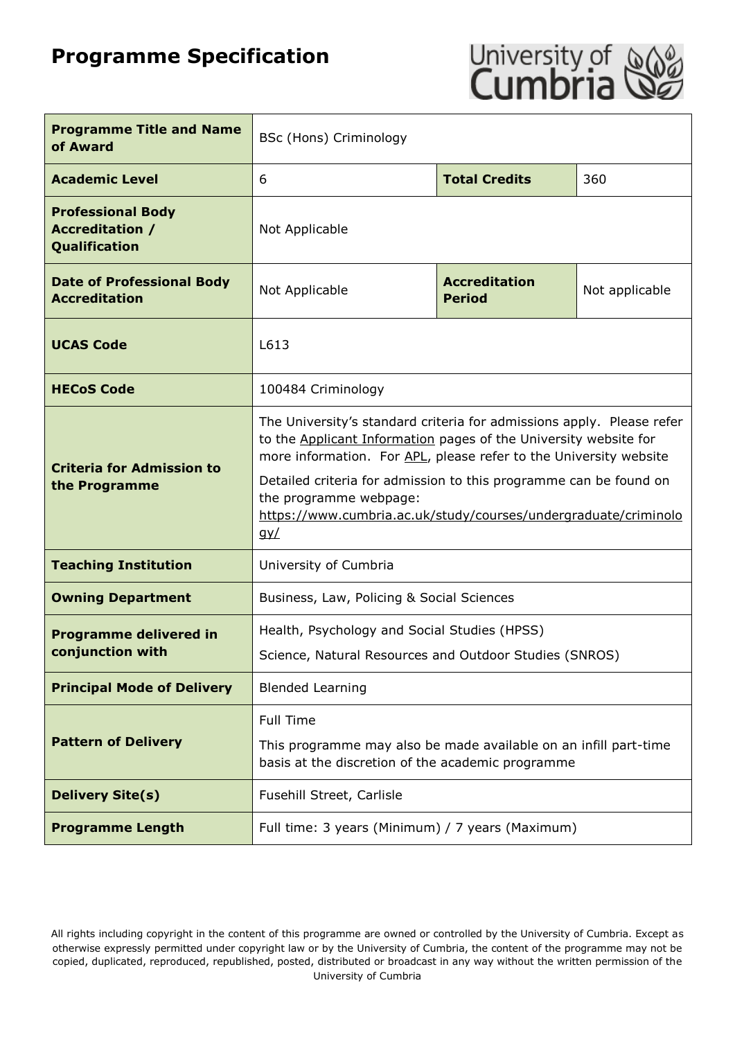# **Programme Specification**



| <b>Programme Title and Name</b><br>of Award                         | <b>BSc (Hons) Criminology</b>                                                                                                                                                                                                                                                                                                                                                                        |  |                |
|---------------------------------------------------------------------|------------------------------------------------------------------------------------------------------------------------------------------------------------------------------------------------------------------------------------------------------------------------------------------------------------------------------------------------------------------------------------------------------|--|----------------|
| <b>Academic Level</b>                                               | <b>Total Credits</b><br>6<br>360                                                                                                                                                                                                                                                                                                                                                                     |  |                |
| <b>Professional Body</b><br><b>Accreditation /</b><br>Qualification | Not Applicable                                                                                                                                                                                                                                                                                                                                                                                       |  |                |
| <b>Date of Professional Body</b><br><b>Accreditation</b>            | <b>Accreditation</b><br>Not Applicable<br><b>Period</b>                                                                                                                                                                                                                                                                                                                                              |  | Not applicable |
| <b>UCAS Code</b>                                                    | L613                                                                                                                                                                                                                                                                                                                                                                                                 |  |                |
| <b>HECoS Code</b>                                                   | 100484 Criminology                                                                                                                                                                                                                                                                                                                                                                                   |  |                |
| <b>Criteria for Admission to</b><br>the Programme                   | The University's standard criteria for admissions apply. Please refer<br>to the Applicant Information pages of the University website for<br>more information. For APL, please refer to the University website<br>Detailed criteria for admission to this programme can be found on<br>the programme webpage:<br>https://www.cumbria.ac.uk/study/courses/undergraduate/criminolo<br>$q$ <sub>y</sub> |  |                |
| <b>Teaching Institution</b>                                         | University of Cumbria                                                                                                                                                                                                                                                                                                                                                                                |  |                |
| <b>Owning Department</b>                                            | Business, Law, Policing & Social Sciences                                                                                                                                                                                                                                                                                                                                                            |  |                |
| <b>Programme delivered in</b><br>conjunction with                   | Health, Psychology and Social Studies (HPSS)<br>Science, Natural Resources and Outdoor Studies (SNROS)                                                                                                                                                                                                                                                                                               |  |                |
| <b>Principal Mode of Delivery</b>                                   | <b>Blended Learning</b>                                                                                                                                                                                                                                                                                                                                                                              |  |                |
| <b>Pattern of Delivery</b>                                          | Full Time<br>This programme may also be made available on an infill part-time<br>basis at the discretion of the academic programme                                                                                                                                                                                                                                                                   |  |                |
| <b>Delivery Site(s)</b>                                             | Fusehill Street, Carlisle                                                                                                                                                                                                                                                                                                                                                                            |  |                |
| <b>Programme Length</b>                                             | Full time: 3 years (Minimum) / 7 years (Maximum)                                                                                                                                                                                                                                                                                                                                                     |  |                |

All rights including copyright in the content of this programme are owned or controlled by the University of Cumbria. Except as otherwise expressly permitted under copyright law or by the University of Cumbria, the content of the programme may not be copied, duplicated, reproduced, republished, posted, distributed or broadcast in any way without the written permission of the University of Cumbria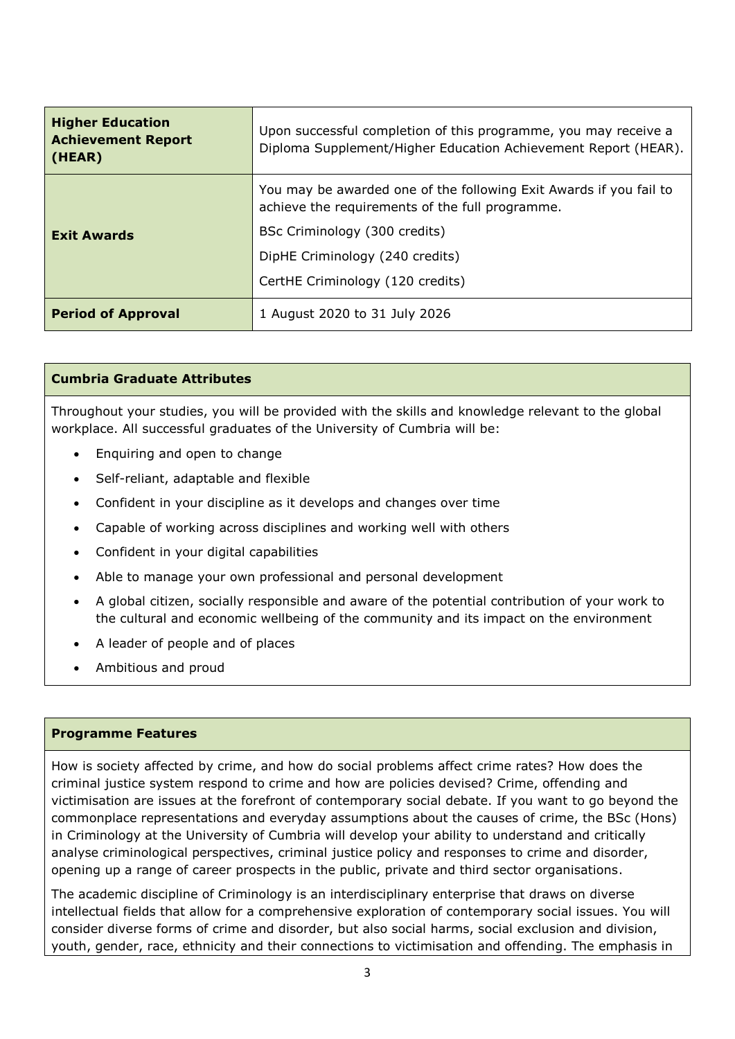| <b>Higher Education</b><br><b>Achievement Report</b><br>(HEAR) | Upon successful completion of this programme, you may receive a<br>Diploma Supplement/Higher Education Achievement Report (HEAR). |
|----------------------------------------------------------------|-----------------------------------------------------------------------------------------------------------------------------------|
|                                                                | You may be awarded one of the following Exit Awards if you fail to<br>achieve the requirements of the full programme.             |
| <b>Exit Awards</b>                                             | BSc Criminology (300 credits)                                                                                                     |
|                                                                | DipHE Criminology (240 credits)                                                                                                   |
|                                                                | CertHE Criminology (120 credits)                                                                                                  |
| <b>Period of Approval</b>                                      | 1 August 2020 to 31 July 2026                                                                                                     |

#### **Cumbria Graduate Attributes**

Throughout your studies, you will be provided with the skills and knowledge relevant to the global workplace. All successful graduates of the University of Cumbria will be:

- Enquiring and open to change
- Self-reliant, adaptable and flexible
- Confident in your discipline as it develops and changes over time
- Capable of working across disciplines and working well with others
- Confident in your digital capabilities
- Able to manage your own professional and personal development
- A global citizen, socially responsible and aware of the potential contribution of your work to the cultural and economic wellbeing of the community and its impact on the environment
- A leader of people and of places
- Ambitious and proud

#### **Programme Features**

How is society affected by crime, and how do social problems affect crime rates? How does the criminal justice system respond to crime and how are policies devised? Crime, offending and victimisation are issues at the forefront of contemporary social debate. If you want to go beyond the commonplace representations and everyday assumptions about the causes of crime, the BSc (Hons) in Criminology at the University of Cumbria will develop your ability to understand and critically analyse criminological perspectives, criminal justice policy and responses to crime and disorder, opening up a range of career prospects in the public, private and third sector organisations.

The academic discipline of Criminology is an interdisciplinary enterprise that draws on diverse intellectual fields that allow for a comprehensive exploration of contemporary social issues. You will consider diverse forms of crime and disorder, but also social harms, social exclusion and division, youth, gender, race, ethnicity and their connections to victimisation and offending. The emphasis in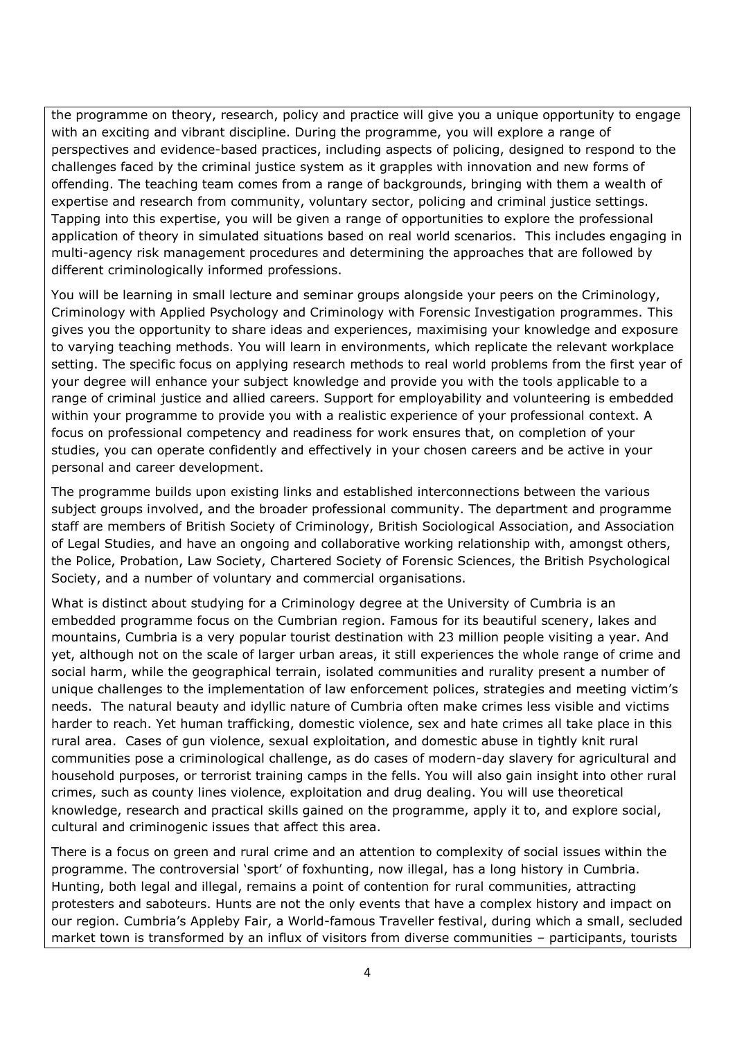the programme on theory, research, policy and practice will give you a unique opportunity to engage with an exciting and vibrant discipline. During the programme, you will explore a range of perspectives and evidence-based practices, including aspects of policing, designed to respond to the challenges faced by the criminal justice system as it grapples with innovation and new forms of offending. The teaching team comes from a range of backgrounds, bringing with them a wealth of expertise and research from community, voluntary sector, policing and criminal justice settings. Tapping into this expertise, you will be given a range of opportunities to explore the professional application of theory in simulated situations based on real world scenarios. This includes engaging in multi-agency risk management procedures and determining the approaches that are followed by different criminologically informed professions.

You will be learning in small lecture and seminar groups alongside your peers on the Criminology, Criminology with Applied Psychology and Criminology with Forensic Investigation programmes. This gives you the opportunity to share ideas and experiences, maximising your knowledge and exposure to varying teaching methods. You will learn in environments, which replicate the relevant workplace setting. The specific focus on applying research methods to real world problems from the first year of your degree will enhance your subject knowledge and provide you with the tools applicable to a range of criminal justice and allied careers. Support for employability and volunteering is embedded within your programme to provide you with a realistic experience of your professional context. A focus on professional competency and readiness for work ensures that, on completion of your studies, you can operate confidently and effectively in your chosen careers and be active in your personal and career development.

The programme builds upon existing links and established interconnections between the various subject groups involved, and the broader professional community. The department and programme staff are members of British Society of Criminology, British Sociological Association, and Association of Legal Studies, and have an ongoing and collaborative working relationship with, amongst others, the Police, Probation, Law Society, Chartered Society of Forensic Sciences, the British Psychological Society, and a number of voluntary and commercial organisations.

What is distinct about studying for a Criminology degree at the University of Cumbria is an embedded programme focus on the Cumbrian region. Famous for its beautiful scenery, lakes and mountains, Cumbria is a very popular tourist destination with 23 million people visiting a year. And yet, although not on the scale of larger urban areas, it still experiences the whole range of crime and social harm, while the geographical terrain, isolated communities and rurality present a number of unique challenges to the implementation of law enforcement polices, strategies and meeting victim's needs. The natural beauty and idyllic nature of Cumbria often make crimes less visible and victims harder to reach. Yet human trafficking, domestic violence, sex and hate crimes all take place in this rural area. Cases of gun violence, sexual exploitation, and domestic abuse in tightly knit rural communities pose a criminological challenge, as do cases of modern-day slavery for agricultural and household purposes, or terrorist training camps in the fells. You will also gain insight into other rural crimes, such as county lines violence, exploitation and drug dealing. You will use theoretical knowledge, research and practical skills gained on the programme, apply it to, and explore social, cultural and criminogenic issues that affect this area.

There is a focus on green and rural crime and an attention to complexity of social issues within the programme. The controversial 'sport' of foxhunting, now illegal, has a long history in Cumbria. Hunting, both legal and illegal, remains a point of contention for rural communities, attracting protesters and saboteurs. Hunts are not the only events that have a complex history and impact on our region. Cumbria's Appleby Fair, a World-famous Traveller festival, during which a small, secluded market town is transformed by an influx of visitors from diverse communities – participants, tourists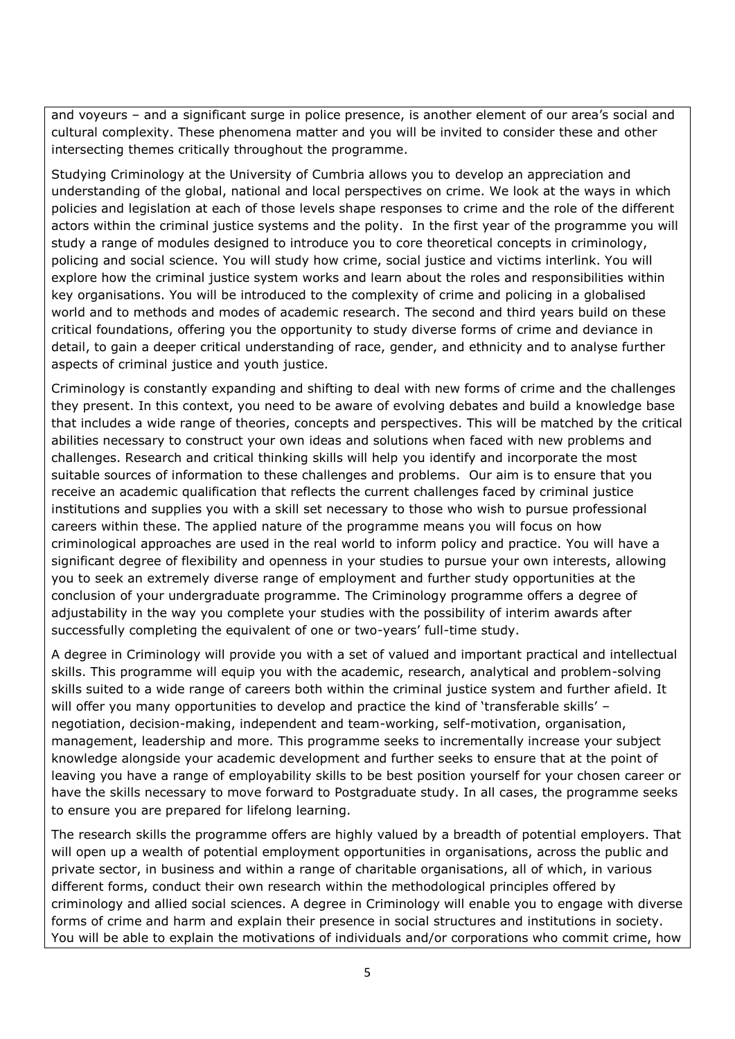and voyeurs – and a significant surge in police presence, is another element of our area's social and cultural complexity. These phenomena matter and you will be invited to consider these and other intersecting themes critically throughout the programme.

Studying Criminology at the University of Cumbria allows you to develop an appreciation and understanding of the global, national and local perspectives on crime. We look at the ways in which policies and legislation at each of those levels shape responses to crime and the role of the different actors within the criminal justice systems and the polity. In the first year of the programme you will study a range of modules designed to introduce you to core theoretical concepts in criminology, policing and social science. You will study how crime, social justice and victims interlink. You will explore how the criminal justice system works and learn about the roles and responsibilities within key organisations. You will be introduced to the complexity of crime and policing in a globalised world and to methods and modes of academic research. The second and third years build on these critical foundations, offering you the opportunity to study diverse forms of crime and deviance in detail, to gain a deeper critical understanding of race, gender, and ethnicity and to analyse further aspects of criminal justice and youth justice.

Criminology is constantly expanding and shifting to deal with new forms of crime and the challenges they present. In this context, you need to be aware of evolving debates and build a knowledge base that includes a wide range of theories, concepts and perspectives. This will be matched by the critical abilities necessary to construct your own ideas and solutions when faced with new problems and challenges. Research and critical thinking skills will help you identify and incorporate the most suitable sources of information to these challenges and problems. Our aim is to ensure that you receive an academic qualification that reflects the current challenges faced by criminal justice institutions and supplies you with a skill set necessary to those who wish to pursue professional careers within these. The applied nature of the programme means you will focus on how criminological approaches are used in the real world to inform policy and practice. You will have a significant degree of flexibility and openness in your studies to pursue your own interests, allowing you to seek an extremely diverse range of employment and further study opportunities at the conclusion of your undergraduate programme. The Criminology programme offers a degree of adjustability in the way you complete your studies with the possibility of interim awards after successfully completing the equivalent of one or two-years' full-time study.

A degree in Criminology will provide you with a set of valued and important practical and intellectual skills. This programme will equip you with the academic, research, analytical and problem-solving skills suited to a wide range of careers both within the criminal justice system and further afield. It will offer you many opportunities to develop and practice the kind of 'transferable skills' – negotiation, decision-making, independent and team-working, self-motivation, organisation, management, leadership and more. This programme seeks to incrementally increase your subject knowledge alongside your academic development and further seeks to ensure that at the point of leaving you have a range of employability skills to be best position yourself for your chosen career or have the skills necessary to move forward to Postgraduate study. In all cases, the programme seeks to ensure you are prepared for lifelong learning.

The research skills the programme offers are highly valued by a breadth of potential employers. That will open up a wealth of potential employment opportunities in organisations, across the public and private sector, in business and within a range of charitable organisations, all of which, in various different forms, conduct their own research within the methodological principles offered by criminology and allied social sciences. A degree in Criminology will enable you to engage with diverse forms of crime and harm and explain their presence in social structures and institutions in society. You will be able to explain the motivations of individuals and/or corporations who commit crime, how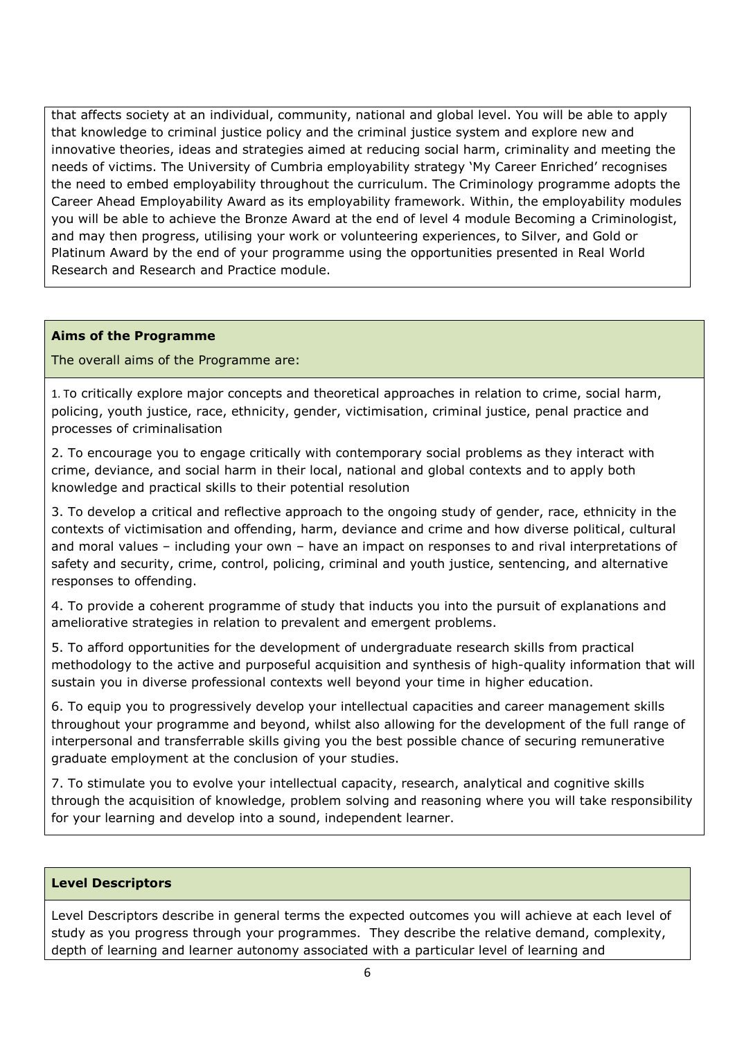that affects society at an individual, community, national and global level. You will be able to apply that knowledge to criminal justice policy and the criminal justice system and explore new and innovative theories, ideas and strategies aimed at reducing social harm, criminality and meeting the needs of victims. The University of Cumbria employability strategy 'My Career Enriched' recognises the need to embed employability throughout the curriculum. The Criminology programme adopts the Career Ahead Employability Award as its employability framework. Within, the employability modules you will be able to achieve the Bronze Award at the end of level 4 module Becoming a Criminologist, and may then progress, utilising your work or volunteering experiences, to Silver, and Gold or Platinum Award by the end of your programme using the opportunities presented in Real World Research and Research and Practice module.

#### **Aims of the Programme**

The overall aims of the Programme are:

1. To critically explore major concepts and theoretical approaches in relation to crime, social harm, policing, youth justice, race, ethnicity, gender, victimisation, criminal justice, penal practice and processes of criminalisation

2. To encourage you to engage critically with contemporary social problems as they interact with crime, deviance, and social harm in their local, national and global contexts and to apply both knowledge and practical skills to their potential resolution

3. To develop a critical and reflective approach to the ongoing study of gender, race, ethnicity in the contexts of victimisation and offending, harm, deviance and crime and how diverse political, cultural and moral values – including your own – have an impact on responses to and rival interpretations of safety and security, crime, control, policing, criminal and youth justice, sentencing, and alternative responses to offending.

4. To provide a coherent programme of study that inducts you into the pursuit of explanations and ameliorative strategies in relation to prevalent and emergent problems.

5. To afford opportunities for the development of undergraduate research skills from practical methodology to the active and purposeful acquisition and synthesis of high-quality information that will sustain you in diverse professional contexts well beyond your time in higher education.

6. To equip you to progressively develop your intellectual capacities and career management skills throughout your programme and beyond, whilst also allowing for the development of the full range of interpersonal and transferrable skills giving you the best possible chance of securing remunerative graduate employment at the conclusion of your studies.

7. To stimulate you to evolve your intellectual capacity, research, analytical and cognitive skills through the acquisition of knowledge, problem solving and reasoning where you will take responsibility for your learning and develop into a sound, independent learner.

#### **Level Descriptors**

Level Descriptors describe in general terms the expected outcomes you will achieve at each level of study as you progress through your programmes. They describe the relative demand, complexity, depth of learning and learner autonomy associated with a particular level of learning and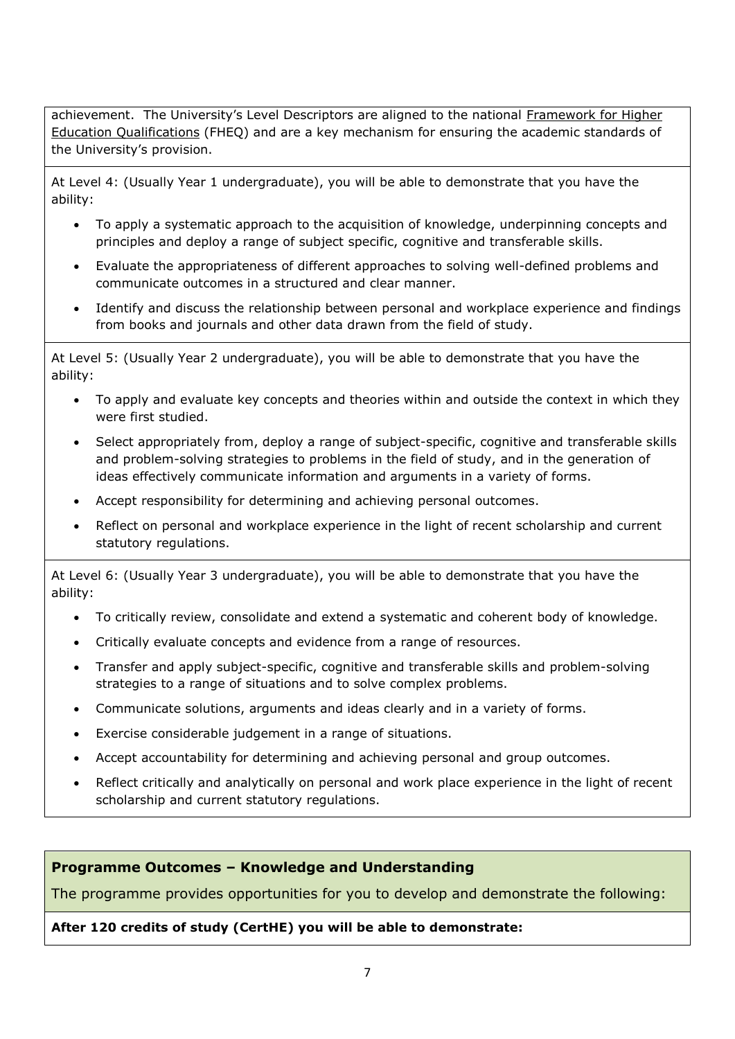achievement. The University's Level Descriptors are aligned to the national Framework for Higher [Education Qualifications](http://www.qaa.ac.uk/en/Publications/Documents/qualifications-frameworks.pdf) (FHEQ) and are a key mechanism for ensuring the academic standards of the University's provision.

At Level 4: (Usually Year 1 undergraduate), you will be able to demonstrate that you have the ability:

- To apply a systematic approach to the acquisition of knowledge, underpinning concepts and principles and deploy a range of subject specific, cognitive and transferable skills.
- Evaluate the appropriateness of different approaches to solving well-defined problems and communicate outcomes in a structured and clear manner.
- Identify and discuss the relationship between personal and workplace experience and findings from books and journals and other data drawn from the field of study.

At Level 5: (Usually Year 2 undergraduate), you will be able to demonstrate that you have the ability:

- To apply and evaluate key concepts and theories within and outside the context in which they were first studied.
- Select appropriately from, deploy a range of subject-specific, cognitive and transferable skills and problem-solving strategies to problems in the field of study, and in the generation of ideas effectively communicate information and arguments in a variety of forms.
- Accept responsibility for determining and achieving personal outcomes.
- Reflect on personal and workplace experience in the light of recent scholarship and current statutory regulations.

At Level 6: (Usually Year 3 undergraduate), you will be able to demonstrate that you have the ability:

- To critically review, consolidate and extend a systematic and coherent body of knowledge.
- Critically evaluate concepts and evidence from a range of resources.
- Transfer and apply subject-specific, cognitive and transferable skills and problem-solving strategies to a range of situations and to solve complex problems.
- Communicate solutions, arguments and ideas clearly and in a variety of forms.
- Exercise considerable judgement in a range of situations.
- Accept accountability for determining and achieving personal and group outcomes.
- Reflect critically and analytically on personal and work place experience in the light of recent scholarship and current statutory regulations.

# **Programme Outcomes – Knowledge and Understanding**

The programme provides opportunities for you to develop and demonstrate the following:

#### **After 120 credits of study (CertHE) you will be able to demonstrate:**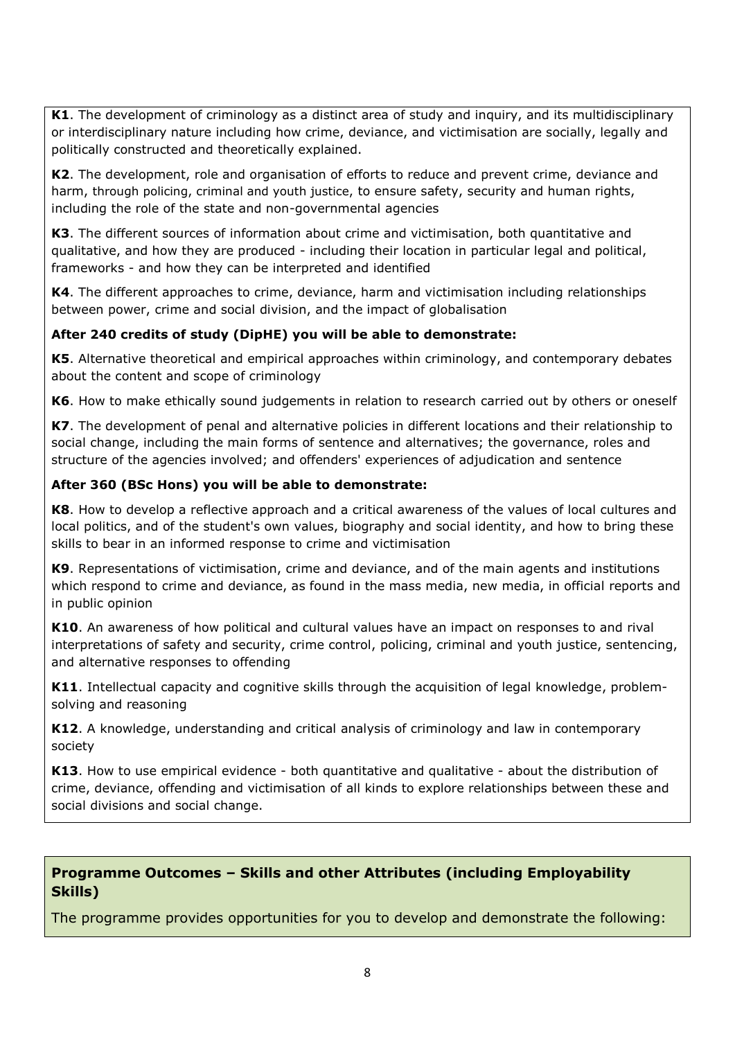**K1**. The development of criminology as a distinct area of study and inquiry, and its multidisciplinary or interdisciplinary nature including how crime, deviance, and victimisation are socially, legally and politically constructed and theoretically explained.

**K2**. The development, role and organisation of efforts to reduce and prevent crime, deviance and harm, through policing, criminal and youth justice, to ensure safety, security and human rights, including the role of the state and non-governmental agencies

**K3**. The different sources of information about crime and victimisation, both quantitative and qualitative, and how they are produced - including their location in particular legal and political, frameworks - and how they can be interpreted and identified

**K4**. The different approaches to crime, deviance, harm and victimisation including relationships between power, crime and social division, and the impact of globalisation

# **After 240 credits of study (DipHE) you will be able to demonstrate:**

**K5**. Alternative theoretical and empirical approaches within criminology, and contemporary debates about the content and scope of criminology

**K6**. How to make ethically sound judgements in relation to research carried out by others or oneself

**K7**. The development of penal and alternative policies in different locations and their relationship to social change, including the main forms of sentence and alternatives; the governance, roles and structure of the agencies involved; and offenders' experiences of adjudication and sentence

# **After 360 (BSc Hons) you will be able to demonstrate:**

**K8**. How to develop a reflective approach and a critical awareness of the values of local cultures and local politics, and of the student's own values, biography and social identity, and how to bring these skills to bear in an informed response to crime and victimisation

**K9**. Representations of victimisation, crime and deviance, and of the main agents and institutions which respond to crime and deviance, as found in the mass media, new media, in official reports and in public opinion

**K10**. An awareness of how political and cultural values have an impact on responses to and rival interpretations of safety and security, crime control, policing, criminal and youth justice, sentencing, and alternative responses to offending

**K11.** Intellectual capacity and cognitive skills through the acquisition of legal knowledge, problemsolving and reasoning

**K12**. A knowledge, understanding and critical analysis of criminology and law in contemporary society

**K13**. How to use empirical evidence - both quantitative and qualitative - about the distribution of crime, deviance, offending and victimisation of all kinds to explore relationships between these and social divisions and social change.

# **Programme Outcomes – Skills and other Attributes (including Employability Skills)**

The programme provides opportunities for you to develop and demonstrate the following: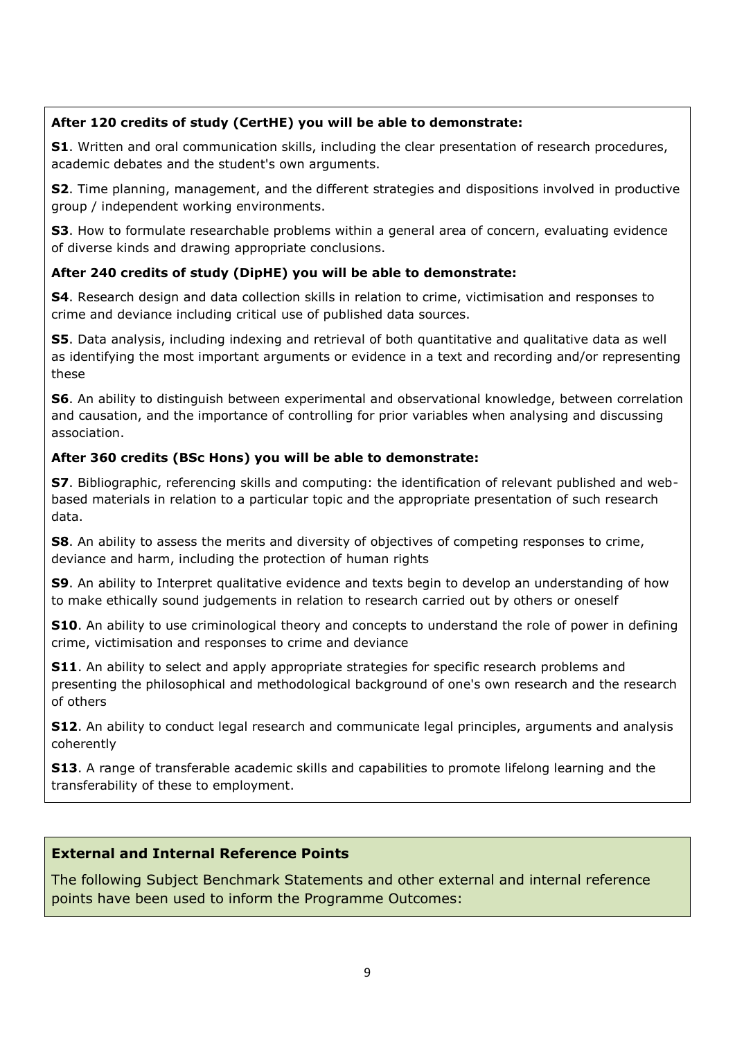# **After 120 credits of study (CertHE) you will be able to demonstrate:**

**S1**. Written and oral communication skills, including the clear presentation of research procedures, academic debates and the student's own arguments.

**S2**. Time planning, management, and the different strategies and dispositions involved in productive group / independent working environments.

**S3**. How to formulate researchable problems within a general area of concern, evaluating evidence of diverse kinds and drawing appropriate conclusions.

# **After 240 credits of study (DipHE) you will be able to demonstrate:**

**S4**. Research design and data collection skills in relation to crime, victimisation and responses to crime and deviance including critical use of published data sources.

**S5**. Data analysis, including indexing and retrieval of both quantitative and qualitative data as well as identifying the most important arguments or evidence in a text and recording and/or representing these

**S6**. An ability to distinguish between experimental and observational knowledge, between correlation and causation, and the importance of controlling for prior variables when analysing and discussing association.

# **After 360 credits (BSc Hons) you will be able to demonstrate:**

**S7**. Bibliographic, referencing skills and computing: the identification of relevant published and webbased materials in relation to a particular topic and the appropriate presentation of such research data.

**S8**. An ability to assess the merits and diversity of objectives of competing responses to crime, deviance and harm, including the protection of human rights

**S9**. An ability to Interpret qualitative evidence and texts begin to develop an understanding of how to make ethically sound judgements in relation to research carried out by others or oneself

**S10**. An ability to use criminological theory and concepts to understand the role of power in defining crime, victimisation and responses to crime and deviance

**S11**. An ability to select and apply appropriate strategies for specific research problems and presenting the philosophical and methodological background of one's own research and the research of others

**S12.** An ability to conduct legal research and communicate legal principles, arguments and analysis coherently

**S13.** A range of transferable academic skills and capabilities to promote lifelong learning and the transferability of these to employment.

# **External and Internal Reference Points**

The following Subject Benchmark Statements and other external and internal reference points have been used to inform the Programme Outcomes: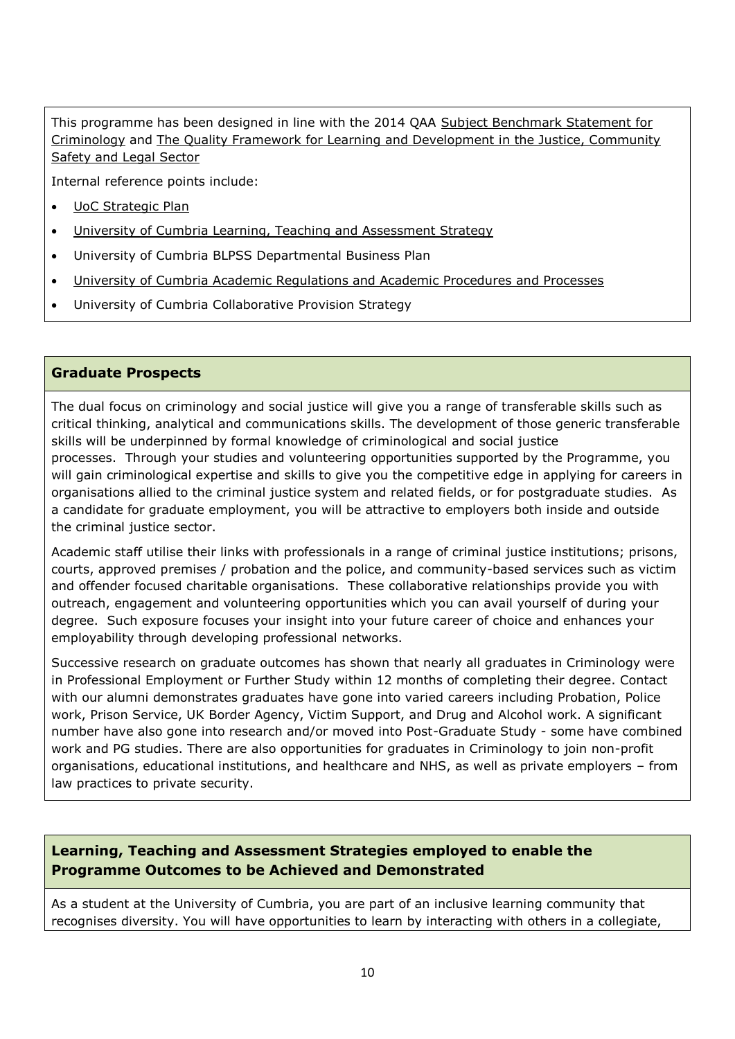This programme has been designed in line with the 2014 QAA [Subject Benchmark Statement for](https://www.qaa.ac.uk/docs/qaa/subject-benchmark-statements/sbs-criminology-14.pdf?sfvrsn=b3e2f781_10)  [Criminology](https://www.qaa.ac.uk/docs/qaa/subject-benchmark-statements/sbs-criminology-14.pdf?sfvrsn=b3e2f781_10) and [The Quality Framework for Learning and Development in the Justice, Community](https://webarchive.nationalarchives.gov.uk/20100512200312/http:/www.skillsforjustice.com/websitefiles/Skillsmark%20Framework%20fast-track%20for%20Higher%20Education.pdf)  [Safety and Legal Sector](https://webarchive.nationalarchives.gov.uk/20100512200312/http:/www.skillsforjustice.com/websitefiles/Skillsmark%20Framework%20fast-track%20for%20Higher%20Education.pdf)

Internal reference points include:

- [UoC Strategic Plan](https://www.cumbria.ac.uk/about/publications/strategic-plan/)
- [University of Cumbria Learning, Teaching and Assessment Strategy](https://www.cumbria.ac.uk/media/university-of-cumbria-website/content-assets/public/aqs/documents/LearningTeachingAssessmentStrategy.pdf)
- University of Cumbria BLPSS Departmental Business Plan
- [University of Cumbria Academic Regulations and Academic Procedures and Processes](https://www.cumbria.ac.uk/about/organisation/professional-services/academic-quality-and-development/academic-regulations/)
- University of Cumbria Collaborative Provision Strategy

#### **Graduate Prospects**

The dual focus on criminology and social justice will give you a range of transferable skills such as critical thinking, analytical and communications skills. The development of those generic transferable skills will be underpinned by formal knowledge of criminological and social justice processes. Through your studies and volunteering opportunities supported by the Programme, you will gain criminological expertise and skills to give you the competitive edge in applying for careers in organisations allied to the criminal justice system and related fields, or for postgraduate studies. As a candidate for graduate employment, you will be attractive to employers both inside and outside the criminal justice sector.

Academic staff utilise their links with professionals in a range of criminal justice institutions; prisons, courts, approved premises / probation and the police, and community-based services such as victim and offender focused charitable organisations. These collaborative relationships provide you with outreach, engagement and volunteering opportunities which you can avail yourself of during your degree. Such exposure focuses your insight into your future career of choice and enhances your employability through developing professional networks.

Successive research on graduate outcomes has shown that nearly all graduates in Criminology were in Professional Employment or Further Study within 12 months of completing their degree. Contact with our alumni demonstrates graduates have gone into varied careers including Probation, Police work, Prison Service, UK Border Agency, Victim Support, and Drug and Alcohol work. A significant number have also gone into research and/or moved into Post-Graduate Study - some have combined work and PG studies. There are also opportunities for graduates in Criminology to join non-profit organisations, educational institutions, and healthcare and NHS, as well as private employers – from law practices to private security.

# **Learning, Teaching and Assessment Strategies employed to enable the Programme Outcomes to be Achieved and Demonstrated**

As a student at the University of Cumbria, you are part of an inclusive learning community that recognises diversity. You will have opportunities to learn by interacting with others in a collegiate,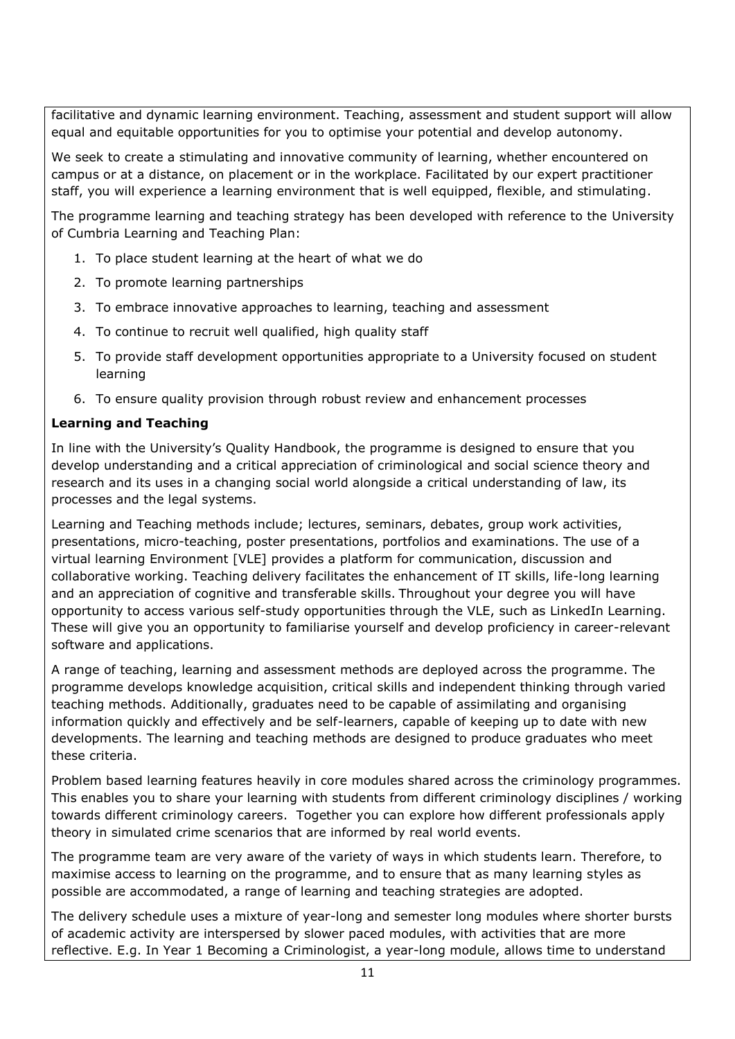facilitative and dynamic learning environment. Teaching, assessment and student support will allow equal and equitable opportunities for you to optimise your potential and develop autonomy.

We seek to create a stimulating and innovative community of learning, whether encountered on campus or at a distance, on placement or in the workplace. Facilitated by our expert practitioner staff, you will experience a learning environment that is well equipped, flexible, and stimulating.

The programme learning and teaching strategy has been developed with reference to the University of Cumbria Learning and Teaching Plan:

- 1. To place student learning at the heart of what we do
- 2. To promote learning partnerships
- 3. To embrace innovative approaches to learning, teaching and assessment
- 4. To continue to recruit well qualified, high quality staff
- 5. To provide staff development opportunities appropriate to a University focused on student learning
- 6. To ensure quality provision through robust review and enhancement processes

# **Learning and Teaching**

In line with the University's Quality Handbook, the programme is designed to ensure that you develop understanding and a critical appreciation of criminological and social science theory and research and its uses in a changing social world alongside a critical understanding of law, its processes and the legal systems.

Learning and Teaching methods include; lectures, seminars, debates, group work activities, presentations, micro-teaching, poster presentations, portfolios and examinations. The use of a virtual learning Environment [VLE] provides a platform for communication, discussion and collaborative working. Teaching delivery facilitates the enhancement of IT skills, life-long learning and an appreciation of cognitive and transferable skills. Throughout your degree you will have opportunity to access various self-study opportunities through the VLE, such as LinkedIn Learning. These will give you an opportunity to familiarise yourself and develop proficiency in career-relevant software and applications.

A range of teaching, learning and assessment methods are deployed across the programme. The programme develops knowledge acquisition, critical skills and independent thinking through varied teaching methods. Additionally, graduates need to be capable of assimilating and organising information quickly and effectively and be self-learners, capable of keeping up to date with new developments. The learning and teaching methods are designed to produce graduates who meet these criteria.

Problem based learning features heavily in core modules shared across the criminology programmes. This enables you to share your learning with students from different criminology disciplines / working towards different criminology careers. Together you can explore how different professionals apply theory in simulated crime scenarios that are informed by real world events.

The programme team are very aware of the variety of ways in which students learn. Therefore, to maximise access to learning on the programme, and to ensure that as many learning styles as possible are accommodated, a range of learning and teaching strategies are adopted.

The delivery schedule uses a mixture of year-long and semester long modules where shorter bursts of academic activity are interspersed by slower paced modules, with activities that are more reflective. E.g. In Year 1 Becoming a Criminologist, a year-long module, allows time to understand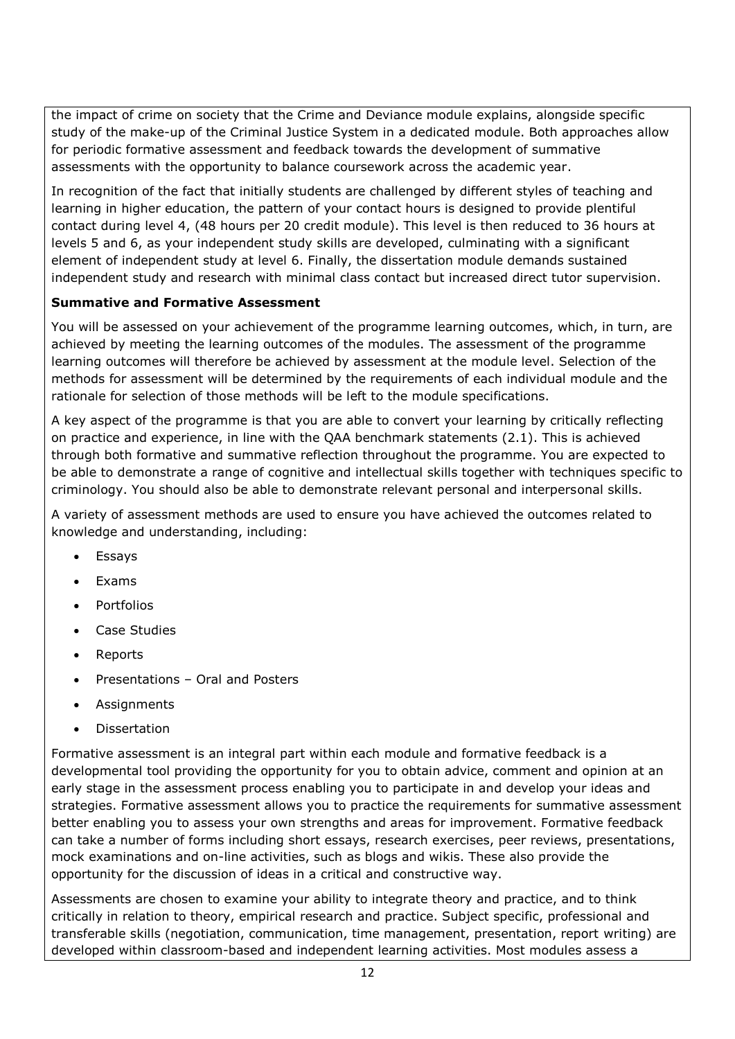the impact of crime on society that the Crime and Deviance module explains, alongside specific study of the make-up of the Criminal Justice System in a dedicated module. Both approaches allow for periodic formative assessment and feedback towards the development of summative assessments with the opportunity to balance coursework across the academic year.

In recognition of the fact that initially students are challenged by different styles of teaching and learning in higher education, the pattern of your contact hours is designed to provide plentiful contact during level 4, (48 hours per 20 credit module). This level is then reduced to 36 hours at levels 5 and 6, as your independent study skills are developed, culminating with a significant element of independent study at level 6. Finally, the dissertation module demands sustained independent study and research with minimal class contact but increased direct tutor supervision.

# **Summative and Formative Assessment**

You will be assessed on your achievement of the programme learning outcomes, which, in turn, are achieved by meeting the learning outcomes of the modules. The assessment of the programme learning outcomes will therefore be achieved by assessment at the module level. Selection of the methods for assessment will be determined by the requirements of each individual module and the rationale for selection of those methods will be left to the module specifications.

A key aspect of the programme is that you are able to convert your learning by critically reflecting on practice and experience, in line with the QAA benchmark statements (2.1). This is achieved through both formative and summative reflection throughout the programme. You are expected to be able to demonstrate a range of cognitive and intellectual skills together with techniques specific to criminology. You should also be able to demonstrate relevant personal and interpersonal skills.

A variety of assessment methods are used to ensure you have achieved the outcomes related to knowledge and understanding, including:

- Essays
- Exams
- Portfolios
- Case Studies
- Reports
- Presentations Oral and Posters
- Assignments
- Dissertation

Formative assessment is an integral part within each module and formative feedback is a developmental tool providing the opportunity for you to obtain advice, comment and opinion at an early stage in the assessment process enabling you to participate in and develop your ideas and strategies. Formative assessment allows you to practice the requirements for summative assessment better enabling you to assess your own strengths and areas for improvement. Formative feedback can take a number of forms including short essays, research exercises, peer reviews, presentations, mock examinations and on-line activities, such as blogs and wikis. These also provide the opportunity for the discussion of ideas in a critical and constructive way.

Assessments are chosen to examine your ability to integrate theory and practice, and to think critically in relation to theory, empirical research and practice. Subject specific, professional and transferable skills (negotiation, communication, time management, presentation, report writing) are developed within classroom-based and independent learning activities. Most modules assess a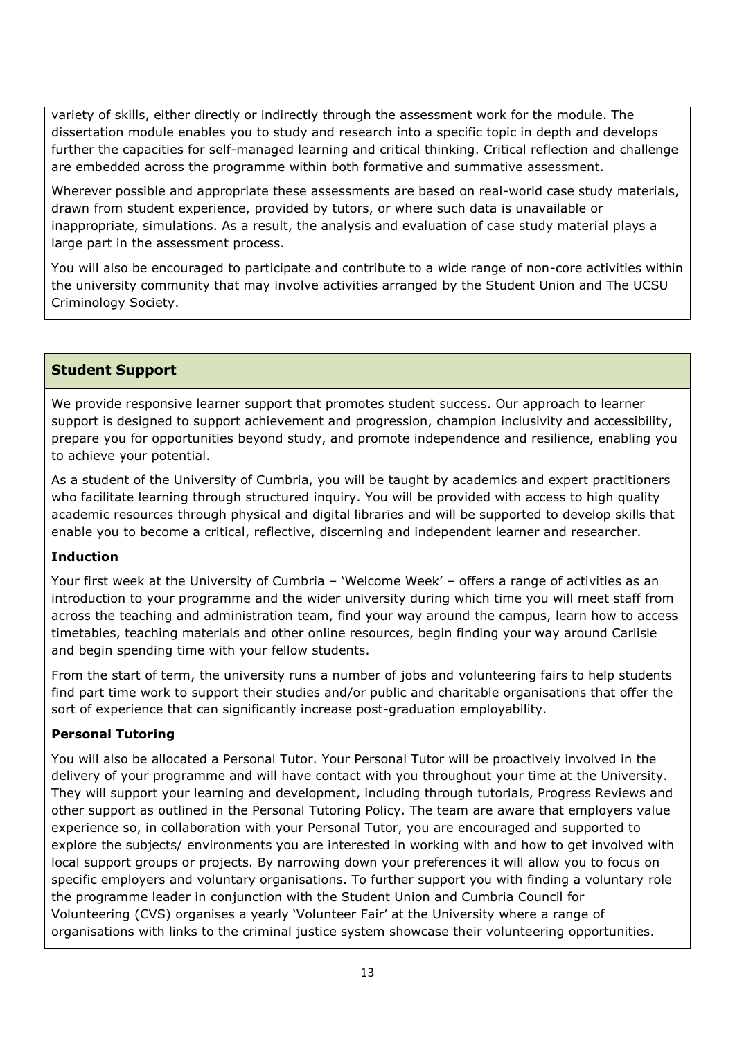variety of skills, either directly or indirectly through the assessment work for the module. The dissertation module enables you to study and research into a specific topic in depth and develops further the capacities for self-managed learning and critical thinking. Critical reflection and challenge are embedded across the programme within both formative and summative assessment.

Wherever possible and appropriate these assessments are based on real-world case study materials, drawn from student experience, provided by tutors, or where such data is unavailable or inappropriate, simulations. As a result, the analysis and evaluation of case study material plays a large part in the assessment process.

You will also be encouraged to participate and contribute to a wide range of non-core activities within the university community that may involve activities arranged by the Student Union and The UCSU Criminology Society.

# **Student Support**

We provide responsive learner support that promotes student success. Our approach to learner support is designed to support achievement and progression, champion inclusivity and accessibility, prepare you for opportunities beyond study, and promote independence and resilience, enabling you to achieve your potential.

As a student of the University of Cumbria, you will be taught by academics and expert practitioners who facilitate learning through structured inquiry. You will be provided with access to high quality academic resources through physical and digital libraries and will be supported to develop skills that enable you to become a critical, reflective, discerning and independent learner and researcher.

# **Induction**

Your first week at the University of Cumbria – 'Welcome Week' – offers a range of activities as an introduction to your programme and the wider university during which time you will meet staff from across the teaching and administration team, find your way around the campus, learn how to access timetables, teaching materials and other online resources, begin finding your way around Carlisle and begin spending time with your fellow students.

From the start of term, the university runs a number of jobs and volunteering fairs to help students find part time work to support their studies and/or public and charitable organisations that offer the sort of experience that can significantly increase post-graduation employability.

# **Personal Tutoring**

You will also be allocated a Personal Tutor. Your Personal Tutor will be proactively involved in the delivery of your programme and will have contact with you throughout your time at the University. They will support your learning and development, including through tutorials, Progress Reviews and other support as outlined in the Personal Tutoring Policy. The team are aware that employers value experience so, in collaboration with your Personal Tutor, you are encouraged and supported to explore the subjects/ environments you are interested in working with and how to get involved with local support groups or projects. By narrowing down your preferences it will allow you to focus on specific employers and voluntary organisations. To further support you with finding a voluntary role the programme leader in conjunction with the Student Union and Cumbria Council for Volunteering (CVS) organises a yearly 'Volunteer Fair' at the University where a range of organisations with links to the criminal justice system showcase their volunteering opportunities.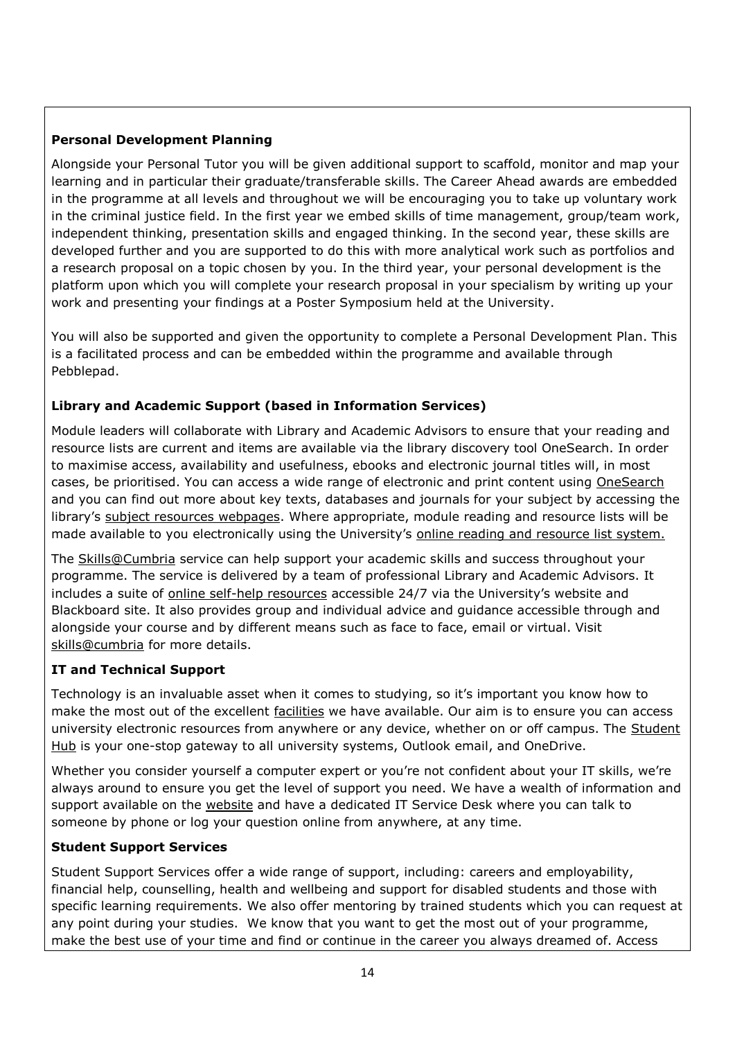# **Personal Development Planning**

Alongside your Personal Tutor you will be given additional support to scaffold, monitor and map your learning and in particular their graduate/transferable skills. The Career Ahead awards are embedded in the programme at all levels and throughout we will be encouraging you to take up voluntary work in the criminal justice field. In the first year we embed skills of time management, group/team work, independent thinking, presentation skills and engaged thinking. In the second year, these skills are developed further and you are supported to do this with more analytical work such as portfolios and a research proposal on a topic chosen by you. In the third year, your personal development is the platform upon which you will complete your research proposal in your specialism by writing up your work and presenting your findings at a Poster Symposium held at the University.

You will also be supported and given the opportunity to complete a Personal Development Plan. This is a facilitated process and can be embedded within the programme and available through Pebblepad.

# **Library and Academic Support (based in Information Services)**

Module leaders will collaborate with Library and Academic Advisors to ensure that your reading and resource lists are current and items are available via the library discovery tool OneSearch. In order to maximise access, availability and usefulness, ebooks and electronic journal titles will, in most cases, be prioritised. You can access a wide range of electronic and print content using [OneSearch](http://cumbria-primo.hosted.exlibrisgroup.com/primo_library/libweb/action/search.do?vid=44UOC_VU1) and you can find out more about key texts, databases and journals for your subject by accessing the library's [subject resources webpages.](http://my.cumbria.ac.uk/StudentLife/Learning/Resources/Subjects/Home.aspx) Where appropriate, module reading and resource lists will be made available to you electronically using the University's [online reading and resource list system.](https://eu.alma.exlibrisgroup.com/leganto/readinglist/lists)

The [Skills@Cumbria](https://my.cumbria.ac.uk/Student-Life/Learning/Skills-Cumbria/) service can help support your academic skills and success throughout your programme. The service is delivered by a team of professional Library and Academic Advisors. It includes a suite of [online self-help resources](https://my.cumbria.ac.uk/Student-Life/Learning/Skills-Cumbria/) accessible 24/7 via the University's website and Blackboard site. It also provides group and individual advice and guidance accessible through and alongside your course and by different means such as face to face, email or virtual. Visit [skills@cumbria](https://my.cumbria.ac.uk/Student-Life/Learning/Skills-Cumbria/) for more details.

# **IT and Technical Support**

Technology is an invaluable asset when it comes to studying, so it's important you know how to make the most out of the excellent [facilities](https://www.cumbria.ac.uk/student-life/facilities/it-facilities/) we have available. Our aim is to ensure you can access university electronic resources from anywhere or any device, whether on or off campus. The [Student](https://universityofcumbria.mydaycloud.com/dashboard/allsorts)  [Hub](https://universityofcumbria.mydaycloud.com/dashboard/allsorts) is your one-stop gateway to all university systems, Outlook email, and OneDrive.

Whether you consider yourself a computer expert or you're not confident about your IT skills, we're always around to ensure you get the level of support you need. We have a wealth of information and support available on the [website](https://my.cumbria.ac.uk/Student-Life/it-media/) and have a dedicated IT Service Desk where you can talk to someone by phone or log your question online from anywhere, at any time.

# **Student Support Services**

Student Support Services offer a wide range of support, including: careers and employability, financial help, counselling, health and wellbeing and support for disabled students and those with specific learning requirements. We also offer mentoring by trained students which you can request at any point during your studies. We know that you want to get the most out of your programme, make the best use of your time and find or continue in the career you always dreamed of. Access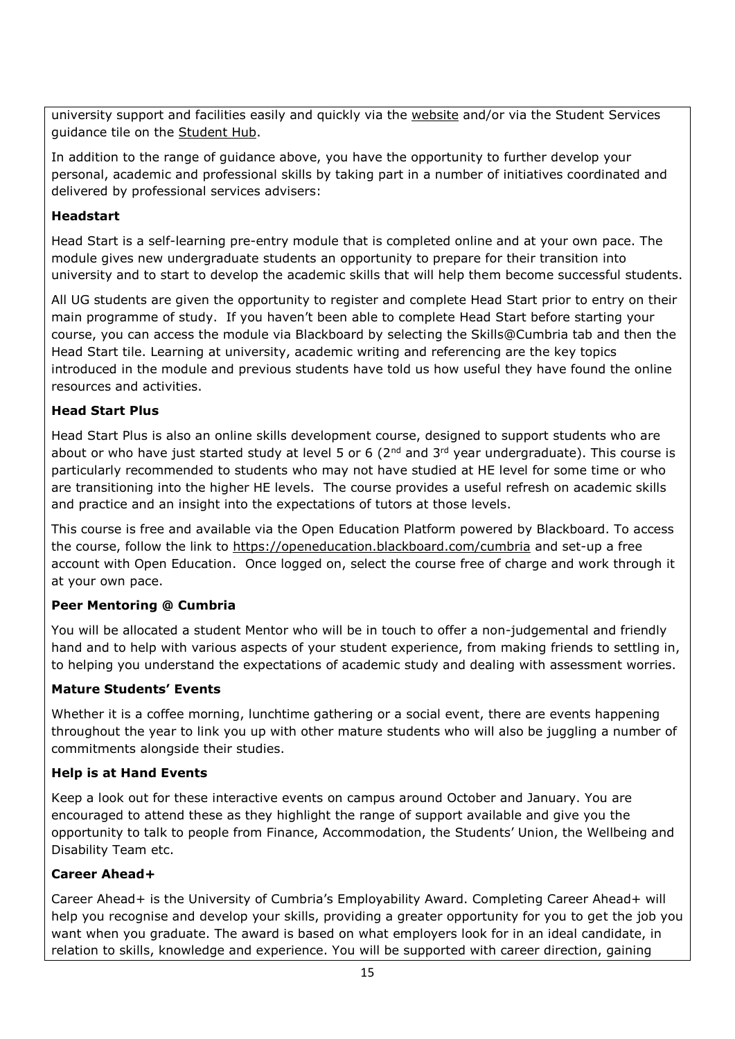university support and facilities easily and quickly via the [website](https://my.cumbria.ac.uk/) and/or via the Student Services guidance tile on the [Student Hub.](https://universityofcumbria.mydaycloud.com/dashboard/staff-home)

In addition to the range of guidance above, you have the opportunity to further develop your personal, academic and professional skills by taking part in a number of initiatives coordinated and delivered by professional services advisers:

# **Headstart**

Head Start is a self-learning pre-entry module that is completed online and at your own pace. The module gives new undergraduate students an opportunity to prepare for their transition into university and to start to develop the academic skills that will help them become successful students.

All UG students are given the opportunity to register and complete Head Start prior to entry on their main programme of study. If you haven't been able to complete Head Start before starting your course, you can access the module via Blackboard by selecting the Skills@Cumbria tab and then the Head Start tile. Learning at university, academic writing and referencing are the key topics introduced in the module and previous students have told us how useful they have found the online resources and activities.

# **Head Start Plus**

Head Start Plus is also an online skills development course, designed to support students who are about or who have just started study at level 5 or 6 (2<sup>nd</sup> and 3<sup>rd</sup> year undergraduate). This course is particularly recommended to students who may not have studied at HE level for some time or who are transitioning into the higher HE levels. The course provides a useful refresh on academic skills and practice and an insight into the expectations of tutors at those levels.

This course is free and available via the Open Education Platform powered by Blackboard. To access the course, follow the link to<https://openeducation.blackboard.com/cumbria> and set-up a free account with Open Education. Once logged on, select the course free of charge and work through it at your own pace.

# **Peer Mentoring @ Cumbria**

You will be allocated a student Mentor who will be in touch to offer a non-judgemental and friendly hand and to help with various aspects of your student experience, from making friends to settling in, to helping you understand the expectations of academic study and dealing with assessment worries.

# **Mature Students' Events**

Whether it is a coffee morning, lunchtime gathering or a social event, there are events happening throughout the year to link you up with other mature students who will also be juggling a number of commitments alongside their studies.

# **Help is at Hand Events**

Keep a look out for these interactive events on campus around October and January. You are encouraged to attend these as they highlight the range of support available and give you the opportunity to talk to people from Finance, Accommodation, the Students' Union, the Wellbeing and Disability Team etc.

# **Career Ahead+**

Career Ahead+ is the University of Cumbria's Employability Award. Completing Career Ahead+ will help you recognise and develop your skills, providing a greater opportunity for you to get the job you want when you graduate. The award is based on what employers look for in an ideal candidate, in relation to skills, knowledge and experience. You will be supported with career direction, gaining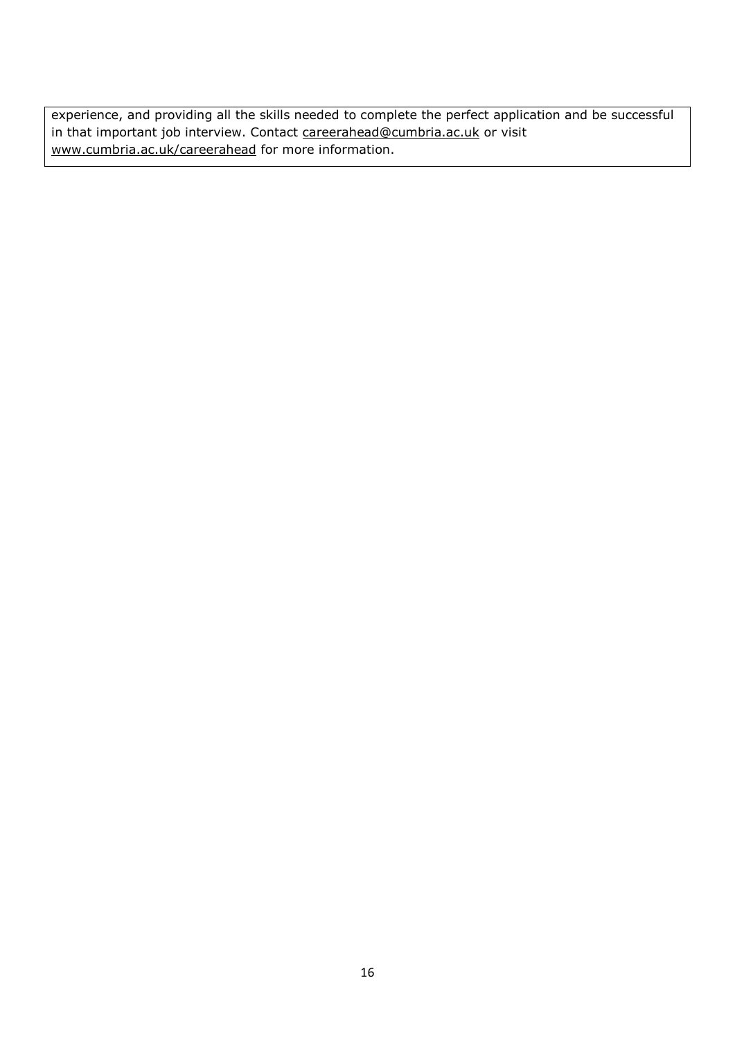experience, and providing all the skills needed to complete the perfect application and be successful in that important job interview. Contact [careerahead@cumbria.ac.uk](mailto:careerahead@cumbria.ac.uk) or visit [www.cumbria.ac.uk/careerahead](http://www.cumbria.ac.uk/careerahead) for more information.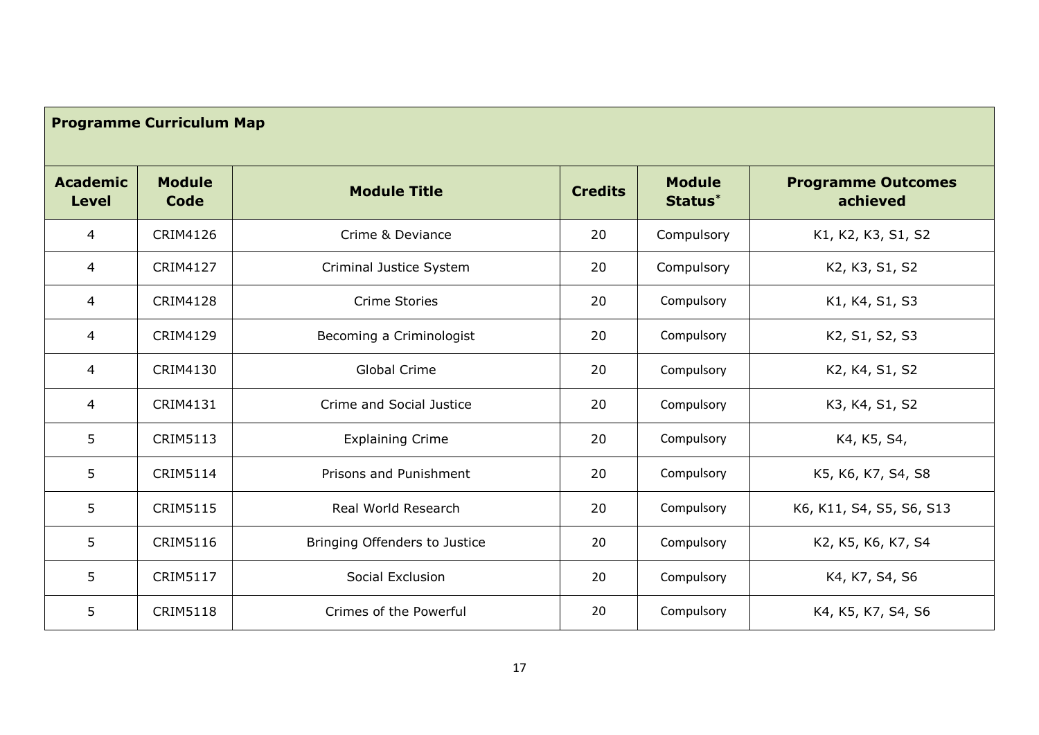| <b>Programme Curriculum Map</b> |                               |                |                          |                                       |
|---------------------------------|-------------------------------|----------------|--------------------------|---------------------------------------|
| <b>Module</b><br>Code           | <b>Module Title</b>           | <b>Credits</b> | <b>Module</b><br>Status* | <b>Programme Outcomes</b><br>achieved |
| <b>CRIM4126</b>                 | Crime & Deviance              | 20             | Compulsory               | K1, K2, K3, S1, S2                    |
| <b>CRIM4127</b>                 | Criminal Justice System       | 20             | Compulsory               | K2, K3, S1, S2                        |
| <b>CRIM4128</b>                 | <b>Crime Stories</b>          | 20             | Compulsory               | K1, K4, S1, S3                        |
| CRIM4129                        | Becoming a Criminologist      | 20             | Compulsory               | K2, S1, S2, S3                        |
| CRIM4130                        | Global Crime                  | 20             | Compulsory               | K2, K4, S1, S2                        |
| CRIM4131                        | Crime and Social Justice      | 20             | Compulsory               | K3, K4, S1, S2                        |
| <b>CRIM5113</b>                 | <b>Explaining Crime</b>       | 20             | Compulsory               | K4, K5, S4,                           |
| <b>CRIM5114</b>                 | Prisons and Punishment        | 20             | Compulsory               | K5, K6, K7, S4, S8                    |
| <b>CRIM5115</b>                 | Real World Research           | 20             | Compulsory               | K6, K11, S4, S5, S6, S13              |
| <b>CRIM5116</b>                 | Bringing Offenders to Justice | 20             | Compulsory               | K2, K5, K6, K7, S4                    |
| <b>CRIM5117</b>                 | Social Exclusion              | 20             | Compulsory               | K4, K7, S4, S6                        |
| <b>CRIM5118</b>                 | Crimes of the Powerful        | 20             | Compulsory               | K4, K5, K7, S4, S6                    |
|                                 |                               |                |                          |                                       |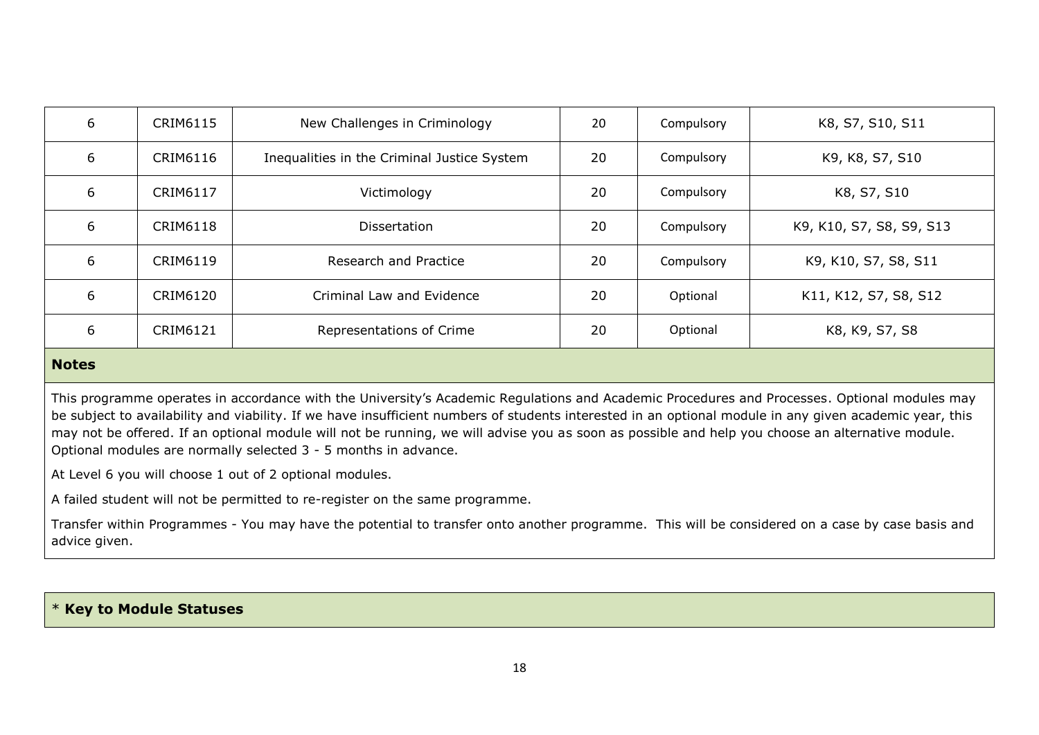| 6 | CRIM6115        | New Challenges in Criminology               | 20 | Compulsory | K8, S7, S10, S11         |
|---|-----------------|---------------------------------------------|----|------------|--------------------------|
| 6 | CRIM6116        | Inequalities in the Criminal Justice System | 20 | Compulsory | K9, K8, S7, S10          |
| 6 | CRIM6117        | Victimology                                 | 20 | Compulsory | K8, S7, S10              |
| 6 | <b>CRIM6118</b> | Dissertation                                | 20 | Compulsory | K9, K10, S7, S8, S9, S13 |
| 6 | CRIM6119        | Research and Practice                       | 20 | Compulsory | K9, K10, S7, S8, S11     |
| 6 | CRIM6120        | Criminal Law and Evidence                   | 20 | Optional   | K11, K12, S7, S8, S12    |
| 6 | CRIM6121        | Representations of Crime                    | 20 | Optional   | K8, K9, S7, S8           |
|   |                 |                                             |    |            |                          |

#### **Notes**

This programme operates in accordance with the University's Academic Regulations and Academic Procedures and Processes. Optional modules may be subject to availability and viability. If we have insufficient numbers of students interested in an optional module in any given academic year, this may not be offered. If an optional module will not be running, we will advise you as soon as possible and help you choose an alternative module. Optional modules are normally selected 3 - 5 months in advance.

At Level 6 you will choose 1 out of 2 optional modules.

A failed student will not be permitted to re-register on the same programme.

Transfer within Programmes - You may have the potential to transfer onto another programme. This will be considered on a case by case basis and advice given.

#### \* **Key to Module Statuses**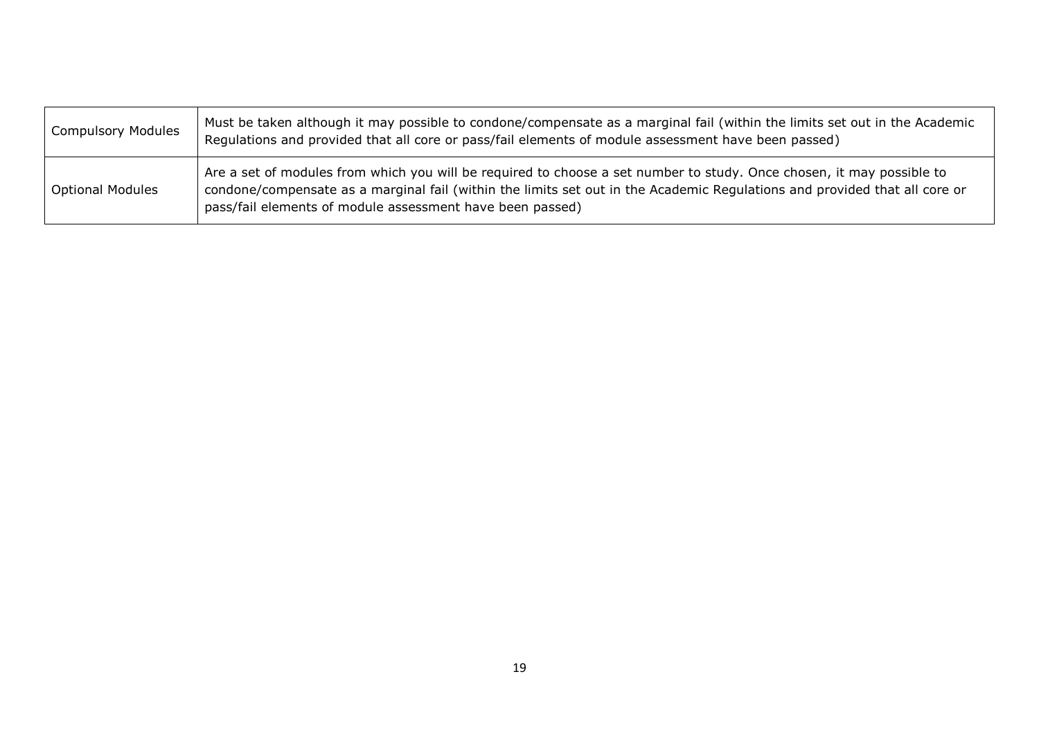| <b>Compulsory Modules</b> | Must be taken although it may possible to condone/compensate as a marginal fail (within the limits set out in the Academic<br>Regulations and provided that all core or pass/fail elements of module assessment have been passed)                                                                                |
|---------------------------|------------------------------------------------------------------------------------------------------------------------------------------------------------------------------------------------------------------------------------------------------------------------------------------------------------------|
| <b>Optional Modules</b>   | Are a set of modules from which you will be required to choose a set number to study. Once chosen, it may possible to<br>condone/compensate as a marginal fail (within the limits set out in the Academic Regulations and provided that all core or<br>pass/fail elements of module assessment have been passed) |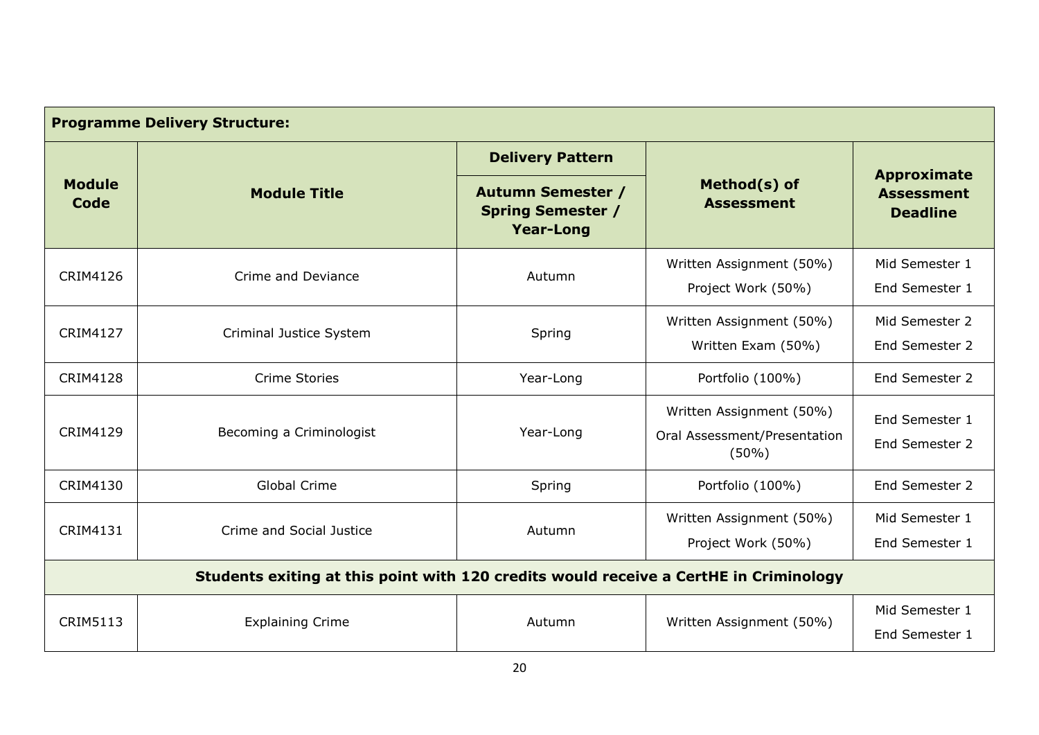| <b>Programme Delivery Structure:</b>                                                  |                          |                                                                          |                                                                   |                                                            |  |
|---------------------------------------------------------------------------------------|--------------------------|--------------------------------------------------------------------------|-------------------------------------------------------------------|------------------------------------------------------------|--|
|                                                                                       |                          | <b>Delivery Pattern</b>                                                  |                                                                   |                                                            |  |
| <b>Module</b><br><b>Module Title</b><br>Code                                          |                          | <b>Autumn Semester /</b><br><b>Spring Semester /</b><br><b>Year-Long</b> | Method(s) of<br><b>Assessment</b>                                 | <b>Approximate</b><br><b>Assessment</b><br><b>Deadline</b> |  |
| CRIM4126                                                                              | Crime and Deviance       | Autumn                                                                   | Written Assignment (50%)<br>Project Work (50%)                    | Mid Semester 1<br>End Semester 1                           |  |
| <b>CRIM4127</b>                                                                       | Criminal Justice System  | Spring                                                                   | Written Assignment (50%)<br>Written Exam (50%)                    | Mid Semester 2<br>End Semester 2                           |  |
| <b>CRIM4128</b>                                                                       | <b>Crime Stories</b>     | Year-Long                                                                | Portfolio (100%)                                                  | End Semester 2                                             |  |
| <b>CRIM4129</b>                                                                       | Becoming a Criminologist | Year-Long                                                                | Written Assignment (50%)<br>Oral Assessment/Presentation<br>(50%) | End Semester 1<br>End Semester 2                           |  |
| CRIM4130                                                                              | <b>Global Crime</b>      | Spring                                                                   | Portfolio (100%)                                                  | End Semester 2                                             |  |
| CRIM4131                                                                              | Crime and Social Justice | Autumn                                                                   | Written Assignment (50%)<br>Project Work (50%)                    | Mid Semester 1<br>End Semester 1                           |  |
| Students exiting at this point with 120 credits would receive a CertHE in Criminology |                          |                                                                          |                                                                   |                                                            |  |
| <b>CRIM5113</b>                                                                       | <b>Explaining Crime</b>  | Autumn                                                                   | Written Assignment (50%)                                          | Mid Semester 1<br>End Semester 1                           |  |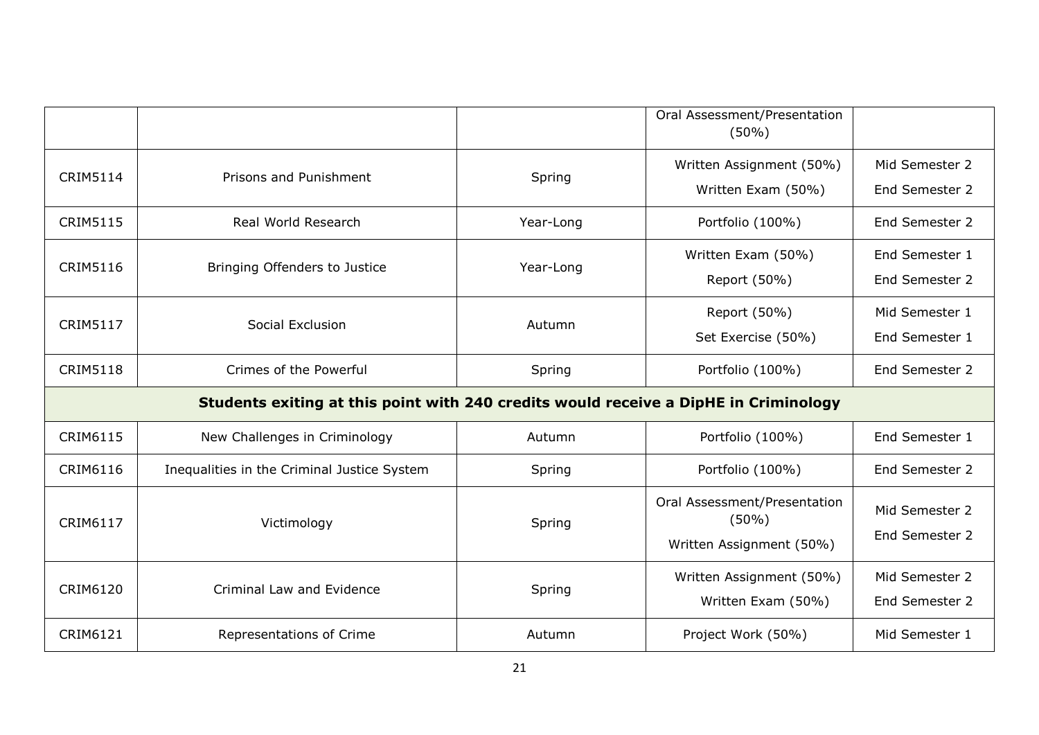|                                                                                      |                                             |           | Oral Assessment/Presentation<br>$(50\%)$ |                                  |
|--------------------------------------------------------------------------------------|---------------------------------------------|-----------|------------------------------------------|----------------------------------|
| <b>CRIM5114</b>                                                                      | Prisons and Punishment                      | Spring    | Written Assignment (50%)                 | Mid Semester 2<br>End Semester 2 |
|                                                                                      |                                             |           | Written Exam (50%)                       |                                  |
| <b>CRIM5115</b>                                                                      | Real World Research                         | Year-Long | Portfolio (100%)                         | End Semester 2                   |
| <b>CRIM5116</b>                                                                      |                                             |           | Written Exam (50%)                       | End Semester 1                   |
|                                                                                      | Bringing Offenders to Justice               | Year-Long | Report (50%)                             | End Semester 2                   |
|                                                                                      |                                             |           | Report (50%)                             | Mid Semester 1                   |
| <b>CRIM5117</b>                                                                      | Social Exclusion                            | Autumn    | Set Exercise (50%)                       | End Semester 1                   |
| <b>CRIM5118</b>                                                                      | Crimes of the Powerful                      | Spring    | Portfolio (100%)                         | End Semester 2                   |
| Students exiting at this point with 240 credits would receive a DipHE in Criminology |                                             |           |                                          |                                  |
| CRIM6115                                                                             | New Challenges in Criminology               | Autumn    | Portfolio (100%)                         | End Semester 1                   |
| CRIM6116                                                                             | Inequalities in the Criminal Justice System | Spring    | Portfolio (100%)                         | End Semester 2                   |
|                                                                                      |                                             |           | Oral Assessment/Presentation             | Mid Semester 2                   |
| CRIM6117                                                                             | Victimology                                 | Spring    | $(50\%)$                                 | End Semester 2                   |
|                                                                                      |                                             |           | Written Assignment (50%)                 |                                  |
| <b>CRIM6120</b>                                                                      | Criminal Law and Evidence                   | Spring    | Written Assignment (50%)                 | Mid Semester 2                   |
|                                                                                      |                                             |           | Written Exam (50%)                       | End Semester 2                   |
| CRIM6121                                                                             | Representations of Crime                    | Autumn    | Project Work (50%)                       | Mid Semester 1                   |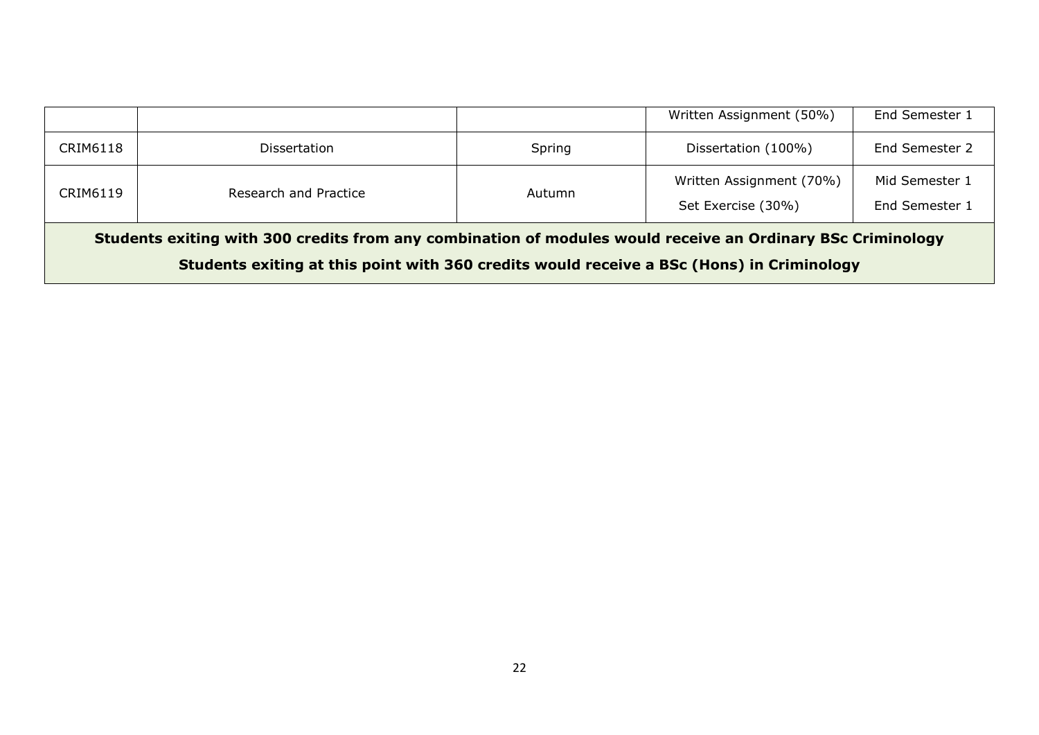|                                                                                                                                                                                                          |                       |        | Written Assignment (50%)                       | End Semester 1                   |
|----------------------------------------------------------------------------------------------------------------------------------------------------------------------------------------------------------|-----------------------|--------|------------------------------------------------|----------------------------------|
| CRIM6118                                                                                                                                                                                                 | <b>Dissertation</b>   | Spring | Dissertation (100%)                            | End Semester 2                   |
| CRIM6119                                                                                                                                                                                                 | Research and Practice | Autumn | Written Assignment (70%)<br>Set Exercise (30%) | Mid Semester 1<br>End Semester 1 |
| Students exiting with 300 credits from any combination of modules would receive an Ordinary BSc Criminology<br>Students exiting at this point with 360 credits would receive a BSc (Hons) in Criminology |                       |        |                                                |                                  |